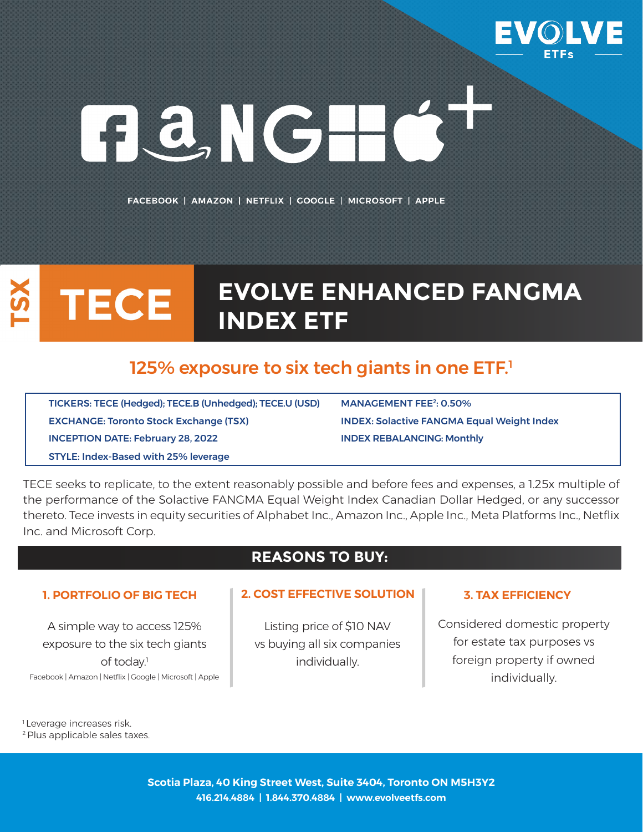

# GONGHCT

FACEBOOK | AMAZON | NETFLIX | GOOGLE | MICROSOFT | APPLE

# **EVOLVE ENHANCED FANGMA TECE INDEX ETF**

# 125% exposure to six tech giants in one ETF.<sup>1</sup>

TICKERS: TECE (Hedged); TECE.B (Unhedged); TECE.U (USD) MANAGEMENT FEE<sup>2</sup>: 0.50% EXCHANGE: Toronto Stock Exchange (TSX) INDEX: Solactive FANGMA Equal Weight Index INCEPTION DATE: February 28, 2022 INDEX REBALANCING: Monthly STYLE: Index-Based with 25% leverage

TECE seeks to replicate, to the extent reasonably possible and before fees and expenses, a 1.25x multiple of the performance of the Solactive FANGMA Equal Weight Index Canadian Dollar Hedged, or any successor thereto. Tece invests in equity securities of Alphabet Inc., Amazon Inc., Apple Inc., Meta Platforms Inc., Netflix Inc. and Microsoft Corp.

## **REASONS TO BUY:**

A simple way to access 125% exposure to the six tech giants of today.<sup>1</sup> Facebook | Amazon | Netflix | Google | Microsoft | Apple

## **1. PORTFOLIO OF BIG TECH 2. COST EFFECTIVE SOLUTION 3. TAX EFFICIENCY**

Listing price of \$10 NAV vs buying all six companies individually.

Considered domestic property for estate tax purposes vs foreign property if owned individually.

<sup>1</sup> Leverage increases risk.

2 Plus applicable sales taxes.